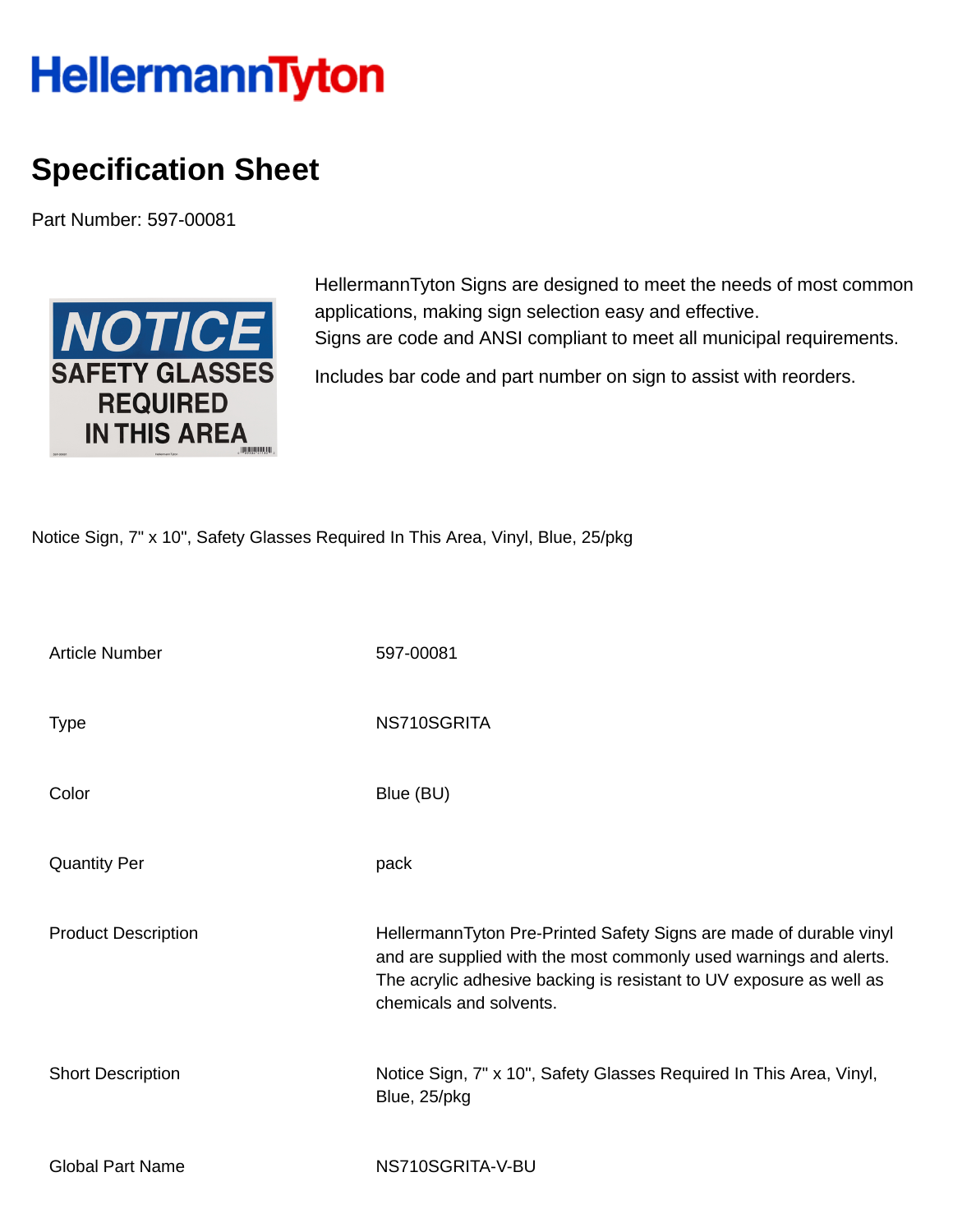## **HellermannTyton**

## **Specification Sheet**

Part Number: 597-00081



HellermannTyton Signs are designed to meet the needs of most common applications, making sign selection easy and effective. Signs are code and ANSI compliant to meet all municipal requirements.

Includes bar code and part number on sign to assist with reorders.

Notice Sign, 7" x 10", Safety Glasses Required In This Area, Vinyl, Blue, 25/pkg

| <b>Article Number</b>      | 597-00081                                                                                                                                                                                                                                 |
|----------------------------|-------------------------------------------------------------------------------------------------------------------------------------------------------------------------------------------------------------------------------------------|
| <b>Type</b>                | NS710SGRITA                                                                                                                                                                                                                               |
| Color                      | Blue (BU)                                                                                                                                                                                                                                 |
| <b>Quantity Per</b>        | pack                                                                                                                                                                                                                                      |
| <b>Product Description</b> | HellermannTyton Pre-Printed Safety Signs are made of durable vinyl<br>and are supplied with the most commonly used warnings and alerts.<br>The acrylic adhesive backing is resistant to UV exposure as well as<br>chemicals and solvents. |
| <b>Short Description</b>   | Notice Sign, 7" x 10", Safety Glasses Required In This Area, Vinyl,<br>Blue, 25/pkg                                                                                                                                                       |
| <b>Global Part Name</b>    | NS710SGRITA-V-BU                                                                                                                                                                                                                          |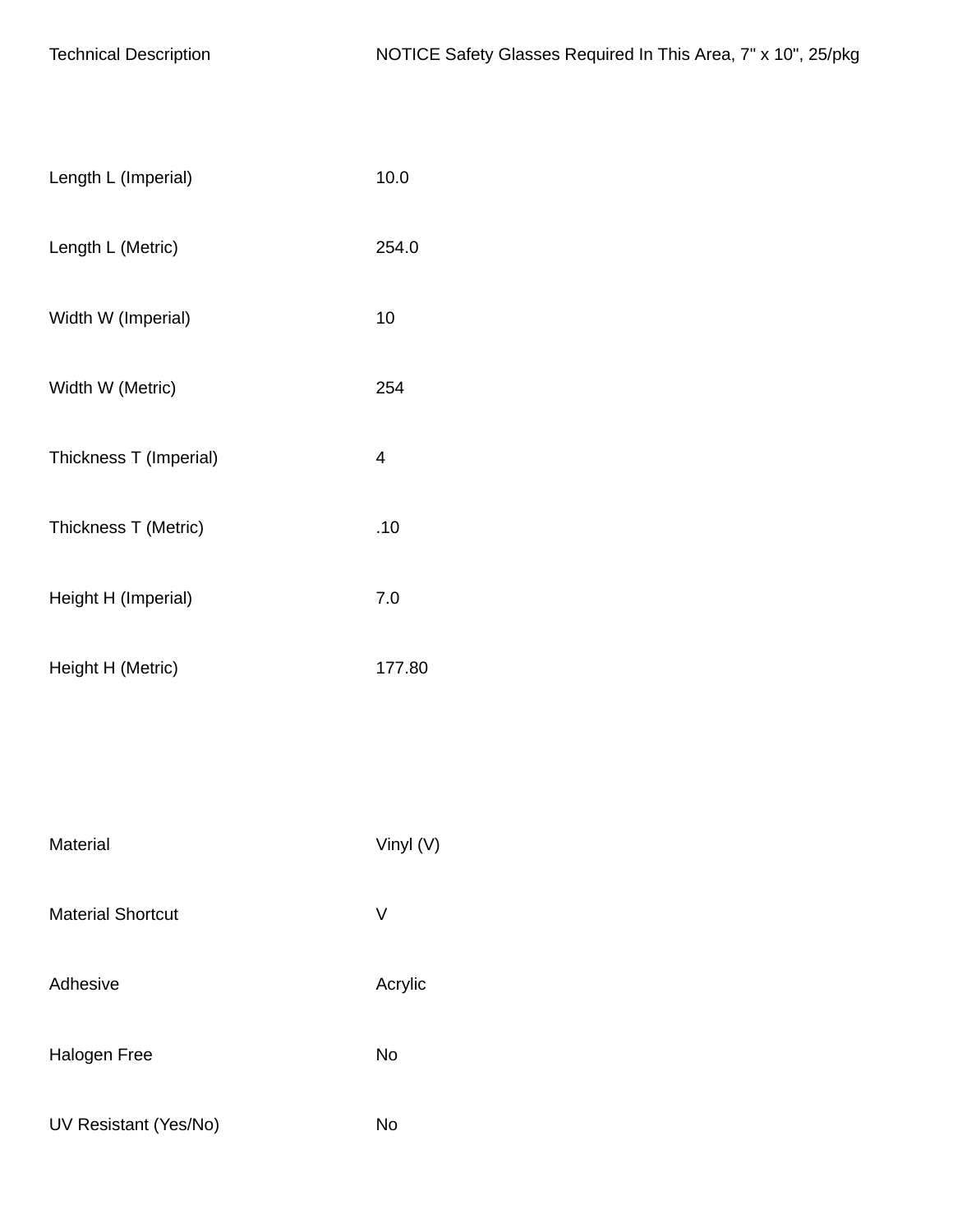| Length L (Imperial)      | 10.0      |
|--------------------------|-----------|
| Length L (Metric)        | 254.0     |
| Width W (Imperial)       | 10        |
| Width W (Metric)         | 254       |
| Thickness T (Imperial)   | 4         |
| Thickness T (Metric)     | .10       |
| Height H (Imperial)      | 7.0       |
| Height H (Metric)        | 177.80    |
|                          |           |
|                          |           |
| Material                 | Vinyl (V) |
| <b>Material Shortcut</b> | V         |
| Adhesive                 | Acrylic   |
| <b>Halogen Free</b>      | No        |
| UV Resistant (Yes/No)    | <b>No</b> |